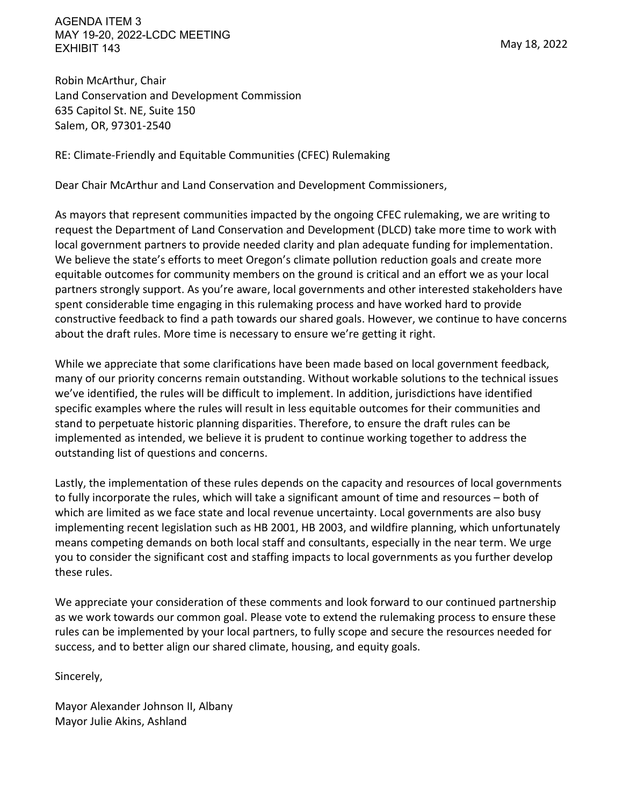AGENDA ITEM 3 MAY 19-20, 2022-LCDC MEETING EXHIBIT 143

Robin McArthur, Chair Land Conservation and Development Commission 635 Capitol St. NE, Suite 150 Salem, OR, 97301-2540

RE: Climate-Friendly and Equitable Communities (CFEC) Rulemaking

Dear Chair McArthur and Land Conservation and Development Commissioners,

As mayors that represent communities impacted by the ongoing CFEC rulemaking, we are writing to request the Department of Land Conservation and Development (DLCD) take more time to work with local government partners to provide needed clarity and plan adequate funding for implementation. We believe the state's efforts to meet Oregon's climate pollution reduction goals and create more equitable outcomes for community members on the ground is critical and an effort we as your local partners strongly support. As you're aware, local governments and other interested stakeholders have spent considerable time engaging in this rulemaking process and have worked hard to provide constructive feedback to find a path towards our shared goals. However, we continue to have concerns about the draft rules. More time is necessary to ensure we're getting it right.

While we appreciate that some clarifications have been made based on local government feedback, many of our priority concerns remain outstanding. Without workable solutions to the technical issues we've identified, the rules will be difficult to implement. In addition, jurisdictions have identified specific examples where the rules will result in less equitable outcomes for their communities and stand to perpetuate historic planning disparities. Therefore, to ensure the draft rules can be implemented as intended, we believe it is prudent to continue working together to address the outstanding list of questions and concerns.

Lastly, the implementation of these rules depends on the capacity and resources of local governments to fully incorporate the rules, which will take a significant amount of time and resources – both of which are limited as we face state and local revenue uncertainty. Local governments are also busy implementing recent legislation such as HB 2001, HB 2003, and wildfire planning, which unfortunately means competing demands on both local staff and consultants, especially in the near term. We urge you to consider the significant cost and staffing impacts to local governments as you further develop these rules.

We appreciate your consideration of these comments and look forward to our continued partnership as we work towards our common goal. Please vote to extend the rulemaking process to ensure these rules can be implemented by your local partners, to fully scope and secure the resources needed for success, and to better align our shared climate, housing, and equity goals.

Sincerely,

Mayor Alexander Johnson II, Albany Mayor Julie Akins, Ashland